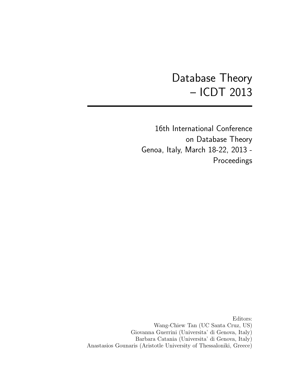# Database Theory – ICDT 2013

16th International Conference on Database Theory Genoa, Italy, March 18-22, 2013 - Proceedings

Editors: Wang-Chiew Tan (UC Santa Cruz, US) Giovanna Guerrini (Universita' di Genova, Italy) Barbara Catania (Universita' di Genova, Italy) Anastasios Gounaris (Aristotle University of Thessaloniki, Greece)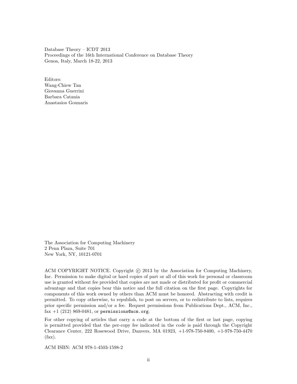Database Theory – ICDT 2013 Proceedings of the 16th International Conference on Database Theory Genoa, Italy, March 18-22, 2013

Editors: Wang-Chiew Tan Giovanna Guerrini Barbara Catania Anastasios Gounaris

The Association for Computing Machinery 2 Penn Plaza, Suite 701 New York, NY, 10121-0701

ACM COPYRIGHT NOTICE. Copyright (c) 2013 by the Association for Computing Machinery, Inc. Permission to make digital or hard copies of part or all of this work for personal or classroom use is granted without fee provided that copies are not made or distributed for profit or commercial advantage and that copies bear this notice and the full citation on the first page. Copyrights for components of this work owned by others than ACM must be honored. Abstracting with credit is permitted. To copy otherwise, to republish, to post on servers, or to redistribute to lists, requires prior specific permission and/or a fee. Request permissions from Publications Dept., ACM, Inc., fax  $+1$  (212) 869-0481, or permissions@acm.org.

For other copying of articles that carry a code at the bottom of the first or last page, copying is permitted provided that the per-copy fee indicated in the code is paid through the Copyright Clearance Center, 222 Rosewood Drive, Danvers, MA 01923, +1-978-750-8400, +1-978-750-4470 (fax).

ACM ISBN: ACM 978-1-4503-1598-2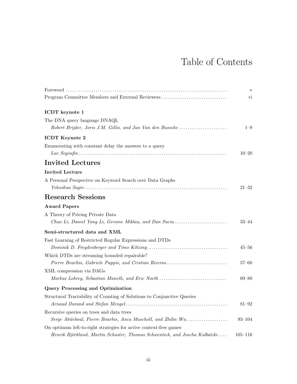## Table of Contents

|                                                                            | $\mathbf{V}$ |
|----------------------------------------------------------------------------|--------------|
| Program Committee Members and External Reviewers                           | vi           |
| ICDT keynote 1                                                             |              |
| The DNA query language DNAQL                                               |              |
| Robert Brijder, Joris J.M. Gillis, and Jan Van den Bussche                 | $1 - 9$      |
| <b>ICDT</b> Keynote 2                                                      |              |
| Enumerating with constant delay the answers to a query                     |              |
|                                                                            | $10 - 20$    |
| <b>Invited Lectures</b>                                                    |              |
| <b>Invited Lecture</b>                                                     |              |
| A Personal Perspective on Keyword Search over Data Graphs                  |              |
|                                                                            | $21 - 32$    |
| <b>Research Sessions</b>                                                   |              |
| <b>Award Papers</b>                                                        |              |
| A Theory of Pricing Private Data                                           |              |
| Chao Li, Daniel Yang Li, Gerome Miklau, and Dan Suciu                      | $33 - 44$    |
| Semi-structured data and XML                                               |              |
| Fast Learning of Restricted Regular Expressions and DTDs                   |              |
|                                                                            | $45 - 56$    |
| Which DTDs are streaming bounded repairable?                               |              |
| Pierre Bourhis, Gabriele Puppis, and Cristian Riveros                      | $57 - 68$    |
| XML compression via DAGs                                                   |              |
| Markus Lohrey, Sebastian Maneth, and Eric Noeth                            | $69 - 80$    |
| <b>Query Processing and Optimization</b>                                   |              |
| Structural Tractability of Counting of Solutions to Conjunctive Queries    |              |
|                                                                            | $81 - 92$    |
| Recursive queries on trees and data trees                                  |              |
| Serge Abiteboul, Pierre Bourhis, Anca Muscholl, and Zhilin Wu              | $93 - 104$   |
| On optimum left-to-right strategies for active context-free games          |              |
| Henrik Björklund, Martin Schuster, Thomas Schwentick, and Joscha Kulbatzki | $105 - 116$  |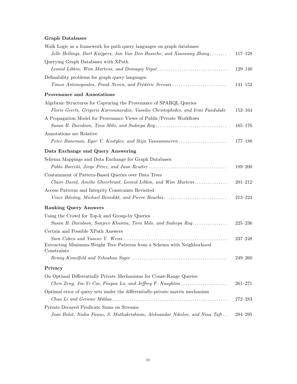### Graph Databases

| Walk Logic as a framework for path query languages on graph databases              |             |
|------------------------------------------------------------------------------------|-------------|
| Jelle Hellings, Bart Kuijpers, Jan Van Den Bussche, and Xiaowang Zhang             | $117 - 128$ |
| Querying Graph Databases with XPath                                                |             |
| Leonid Libkin, Wim Martens, and Domagoj Vrgoč                                      | $129 - 140$ |
| Definability problems for graph query languages                                    |             |
| Timos Antonopoulos, Frank Neven, and Frédéric Servais                              | $141 - 152$ |
| <b>Provenance and Annotations</b>                                                  |             |
| Algebraic Structures for Capturing the Provenance of SPARQL Queries                |             |
| Floris Geerts, Grigoris Karvounarakis, Vassilis Christophides, and Irini Fundulaki | $153 - 164$ |
| A Propagation Model for Provenance Views of Public/Private Workflows               |             |
| Susan B. Davidson, Tova Milo, and Sudeepa Roy                                      | $165 - 176$ |
| Annotations are Relative                                                           |             |
| Peter Buneman, Egor V. Kostylev, and Stijn Vansummeren                             | $177 - 188$ |
| Data Exchange and Query Answering                                                  |             |
| Schema Mappings and Data Exchange for Graph Databases                              |             |
|                                                                                    | $189 - 200$ |
| Containment of Pattern-Based Queries over Data Trees                               |             |
| Claire David, Amélie Gheerbrant, Leonid Libkin, and Wim Martens                    | $201 - 212$ |
| Access Patterns and Integrity Constraints Revisited                                |             |
| Vince Bárány, Michael Benedikt, and Pierre Bourhis                                 | $213 - 224$ |
| <b>Ranking Query Answers</b>                                                       |             |
| Using the Crowd for Top-k and Group-by Queries                                     |             |
| Susan B. Davidson, Sanjeev Khanna, Tova Milo, and Sudeepa Roy                      | $225 - 236$ |
| Certain and Possible XPath Answers                                                 |             |
|                                                                                    | $237 - 248$ |
| Extracting Minimum-Weight Tree Patterns from a Schema with Neighborhood            |             |
| Constraints                                                                        | $249 - 260$ |
|                                                                                    |             |
| Privacy                                                                            |             |
| On Optimal Differentially Private Mechanisms for Count-Range Queries               |             |
|                                                                                    | $261 - 271$ |
| Optimal error of query sets under the differentially-private matrix mechanism      |             |
|                                                                                    | $272 - 283$ |
| Private Decayed Predicate Sums on Streams                                          |             |
| Jean Bolot, Nadia Fawaz, S. Muthukrishnan, Aleksandar Nikolov, and Nina Taft       | $284 - 295$ |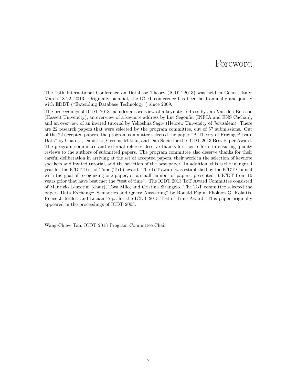### Foreword

The 16th International Conference on Database Theory (ICDT 2013) was held in Genoa, Italy, March 18-22, 2013. Originally biennial, the ICDT conference has been held annually and jointly with EDBT ("Extending Database Technology") since 2009.

The proceedings of ICDT 2013 includes an overview of a keynote address by Jan Van den Bussche (Hasselt University), an overview of a keynote address by Luc Segoufin (INRIA and ENS Cachan), and an overview of an invited tutorial by Yehoshua Sagiv (Hebrew University of Jerusalem). There are 22 research papers that were selected by the program committee, out of 57 submissions. Out of the 22 accepted papers, the program committee selected the paper "A Theory of Pricing Private Data" by Chao Li, Daniel Li, Gerome Miklau, and Dan Suciu for the ICDT 2013 Best Paper Award. The program committee and external referees deserve thanks for their efforts in ensuring quality reviews to the authors of submitted papers. The program committee also deserve thanks for their careful deliberation in arriving at the set of accepted papers, their work in the selection of keynote speakers and invited tutorial, and the selection of the best paper. In addition, this is the inaugural year for the ICDT Test-of-Time (ToT) award. The ToT award was established by the ICDT Council with the goal of recognizing one paper, or a small number of papers, presented at ICDT from 10 years prior that have best met the "test of time". The ICDT 2013 ToT Award Committee consisted of Maurizio Lenzerini (chair), Tova Milo, and Cristina Sirangelo. The ToT committee selected the paper "Data Exchange: Semantics and Query Answering" by Ronald Fagin, Phokion G. Kolaitis, Renée J. Miller, and Lucian Popa for the ICDT 2013 Test-of-Time Award. This paper originally appeared in the proceedings of ICDT 2003.

Wang-Chiew Tan, ICDT 2013 Program Committee Chair